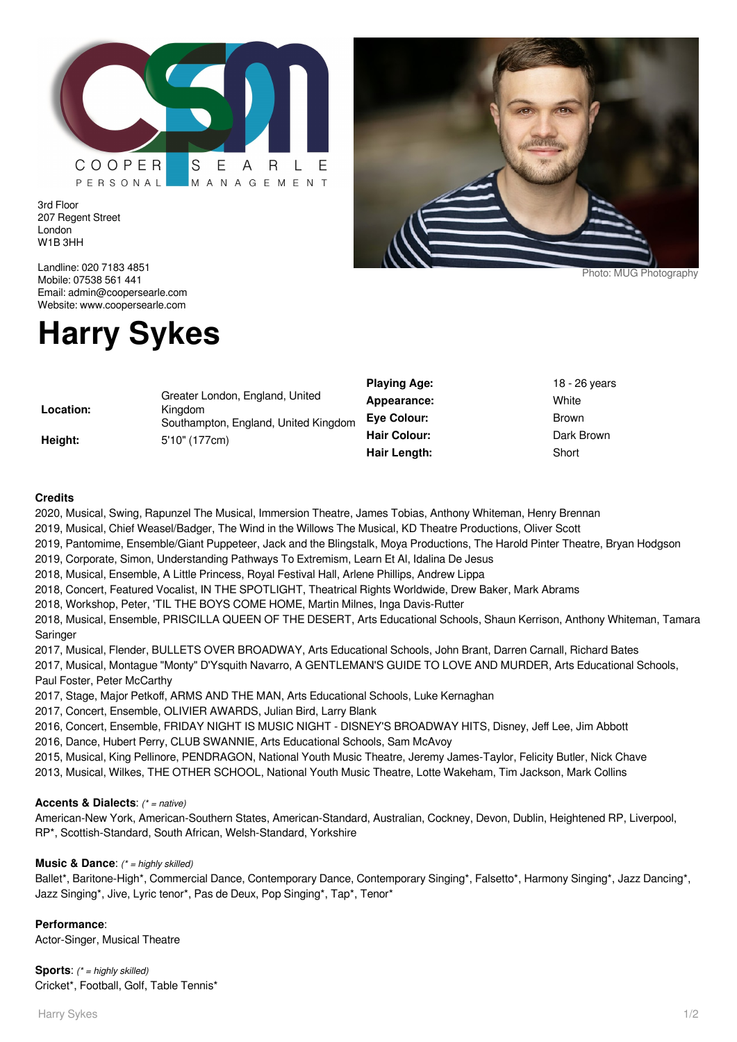

3rd Floor 207 Regent Street London W1B 3HH

Landline: 020 7183 4851 Mobile: 07538 561 441 Email: admin@coopersearle.com Website: www.coopersearle.com

# **Harry Sykes**

|                      |                                                                                                     | <b>Playing Age:</b> | 18 - 26 years |
|----------------------|-----------------------------------------------------------------------------------------------------|---------------------|---------------|
| Location:<br>Height: | Greater London, England, United<br>Kingdom<br>Southampton, England, United Kingdom<br>5'10" (177cm) | Appearance:         | White         |
|                      |                                                                                                     | Eye Colour:         | Brown         |
|                      |                                                                                                     | <b>Hair Colour:</b> | Dark Brown    |
|                      |                                                                                                     | Hair Length:        | Short         |

## **Credits**

2020, Musical, Swing, Rapunzel The Musical, Immersion Theatre, James Tobias, Anthony Whiteman, Henry Brennan

2019, Musical, Chief Weasel/Badger, The Wind in the Willows The Musical, KD Theatre Productions, Oliver Scott

2019, Pantomime, Ensemble/Giant Puppeteer, Jack and the Blingstalk, Moya Productions, The Harold Pinter Theatre, Bryan Hodgson

- 2019, Corporate, Simon, Understanding Pathways To Extremism, Learn Et Al, Idalina De Jesus
- 2018, Musical, Ensemble, A Little Princess, Royal Festival Hall, Arlene Phillips, Andrew Lippa
- 2018, Concert, Featured Vocalist, IN THE SPOTLIGHT, Theatrical Rights Worldwide, Drew Baker, Mark Abrams
- 2018, Workshop, Peter, 'TIL THE BOYS COME HOME, Martin Milnes, Inga Davis-Rutter

2018, Musical, Ensemble, PRISCILLA QUEEN OF THE DESERT, Arts Educational Schools, Shaun Kerrison, Anthony Whiteman, Tamara **Saringer** 

2017, Musical, Flender, BULLETS OVER BROADWAY, Arts Educational Schools, John Brant, Darren Carnall, Richard Bates

2017, Musical, Montague "Monty" D'Ysquith Navarro, A GENTLEMAN'S GUIDE TO LOVE AND MURDER, Arts Educational Schools, Paul Foster, Peter McCarthy

2017, Stage, Major Petkoff, ARMS AND THE MAN, Arts Educational Schools, Luke Kernaghan

2017, Concert, Ensemble, OLIVIER AWARDS, Julian Bird, Larry Blank

2016, Concert, Ensemble, FRIDAY NIGHT IS MUSIC NIGHT - DISNEY'S BROADWAY HITS, Disney, Jeff Lee, Jim Abbott

2016, Dance, Hubert Perry, CLUB SWANNIE, Arts Educational Schools, Sam McAvoy

2015, Musical, King Pellinore, PENDRAGON, National Youth Music Theatre, Jeremy James-Taylor, Felicity Butler, Nick Chave

2013, Musical, Wilkes, THE OTHER SCHOOL, National Youth Music Theatre, Lotte Wakeham, Tim Jackson, Mark Collins

#### **Accents & Dialects**: (\* = native)

American-New York, American-Southern States, American-Standard, Australian, Cockney, Devon, Dublin, Heightened RP, Liverpool, RP\*, Scottish-Standard, South African, Welsh-Standard, Yorkshire

### **Music & Dance:** (\* = highly skilled)

Ballet\*, Baritone-High\*, Commercial Dance, Contemporary Dance, Contemporary Singing\*, Falsetto\*, Harmony Singing\*, Jazz Dancing\*, Jazz Singing\*, Jive, Lyric tenor\*, Pas de Deux, Pop Singing\*, Tap\*, Tenor\*

#### **Performance**:

Actor-Singer, Musical Theatre

**Sports:** (\* = highly skilled) Cricket\*, Football, Golf, Table Tennis\*